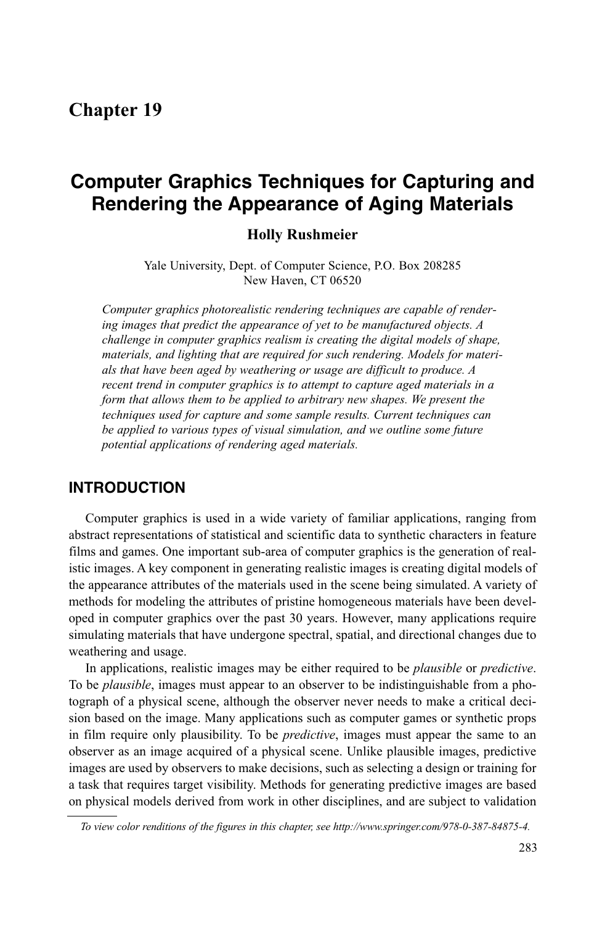# **Computer Graphics Techniques for Capturing and Rendering the Appearance of Aging Materials**

**Holly Rushmeier**

Yale University, Dept. of Computer Science, P.O. Box 208285 New Haven, CT 06520

*Computer graphics photorealistic rendering techniques are capable of rendering images that predict the appearance of yet to be manufactured objects. A challenge in computer graphics realism is creating the digital models of shape, materials, and lighting that are required for such rendering. Models for materials that have been aged by weathering or usage are difficult to produce. A recent trend in computer graphics is to attempt to capture aged materials in a form that allows them to be applied to arbitrary new shapes. We present the techniques used for capture and some sample results. Current techniques can be applied to various types of visual simulation, and we outline some future potential applications of rendering aged materials.*

### **INTRODUCTION**

Computer graphics is used in a wide variety of familiar applications, ranging from abstract representations of statistical and scientific data to synthetic characters in feature films and games. One important sub-area of computer graphics is the generation of realistic images. A key component in generating realistic images is creating digital models of the appearance attributes of the materials used in the scene being simulated. A variety of methods for modeling the attributes of pristine homogeneous materials have been developed in computer graphics over the past 30 years. However, many applications require simulating materials that have undergone spectral, spatial, and directional changes due to weathering and usage.

In applications, realistic images may be either required to be *plausible* or *predictive*. To be *plausible*, images must appear to an observer to be indistinguishable from a photograph of a physical scene, although the observer never needs to make a critical decision based on the image. Many applications such as computer games or synthetic props in film require only plausibility. To be *predictive*, images must appear the same to an observer as an image acquired of a physical scene. Unlike plausible images, predictive images are used by observers to make decisions, such as selecting a design or training for a task that requires target visibility. Methods for generating predictive images are based on physical models derived from work in other disciplines, and are subject to validation

*To view color renditions of the figures in this chapter, see http://www.springer.com/978-0-387-84875-4.*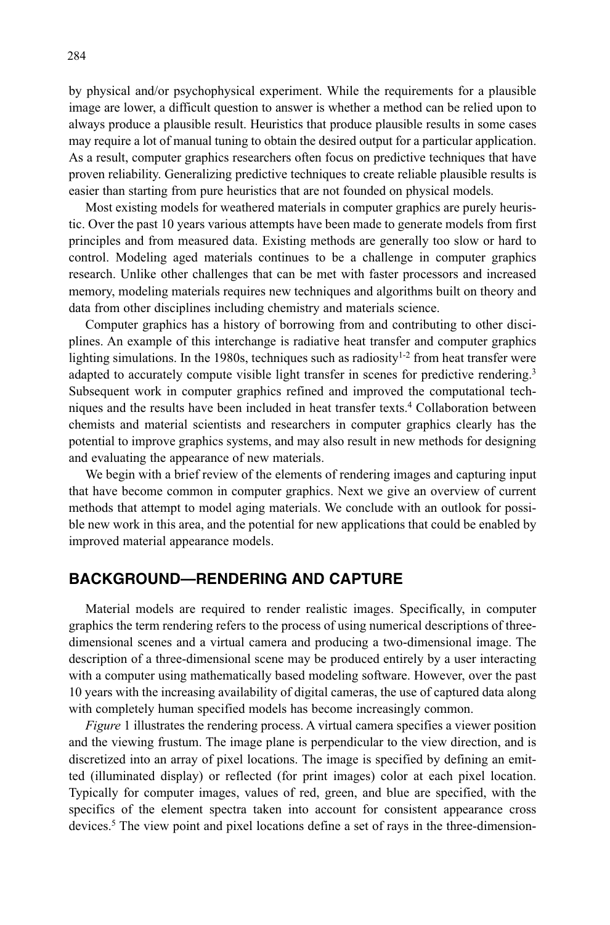by physical and/or psychophysical experiment. While the requirements for a plausible image are lower, a difficult question to answer is whether a method can be relied upon to always produce a plausible result. Heuristics that produce plausible results in some cases may require a lot of manual tuning to obtain the desired output for a particular application. As a result, computer graphics researchers often focus on predictive techniques that have proven reliability. Generalizing predictive techniques to create reliable plausible results is easier than starting from pure heuristics that are not founded on physical models.

Most existing models for weathered materials in computer graphics are purely heuristic. Over the past 10 years various attempts have been made to generate models from first principles and from measured data. Existing methods are generally too slow or hard to control. Modeling aged materials continues to be a challenge in computer graphics research. Unlike other challenges that can be met with faster processors and increased memory, modeling materials requires new techniques and algorithms built on theory and data from other disciplines including chemistry and materials science.

Computer graphics has a history of borrowing from and contributing to other disciplines. An example of this interchange is radiative heat transfer and computer graphics lighting simulations. In the 1980s, techniques such as radiosity<sup>1-2</sup> from heat transfer were adapted to accurately compute visible light transfer in scenes for predictive rendering.<sup>3</sup> Subsequent work in computer graphics refined and improved the computational techniques and the results have been included in heat transfer texts.4 Collaboration between chemists and material scientists and researchers in computer graphics clearly has the potential to improve graphics systems, and may also result in new methods for designing and evaluating the appearance of new materials.

We begin with a brief review of the elements of rendering images and capturing input that have become common in computer graphics. Next we give an overview of current methods that attempt to model aging materials. We conclude with an outlook for possible new work in this area, and the potential for new applications that could be enabled by improved material appearance models.

#### **BACKGROUND—RENDERING AND CAPTURE**

Material models are required to render realistic images. Specifically, in computer graphics the term rendering refers to the process of using numerical descriptions of threedimensional scenes and a virtual camera and producing a two-dimensional image. The description of a three-dimensional scene may be produced entirely by a user interacting with a computer using mathematically based modeling software. However, over the past 10 years with the increasing availability of digital cameras, the use of captured data along with completely human specified models has become increasingly common.

*Figure* 1 illustrates the rendering process. A virtual camera specifies a viewer position and the viewing frustum. The image plane is perpendicular to the view direction, and is discretized into an array of pixel locations. The image is specified by defining an emitted (illuminated display) or reflected (for print images) color at each pixel location. Typically for computer images, values of red, green, and blue are specified, with the specifics of the element spectra taken into account for consistent appearance cross devices.<sup>5</sup> The view point and pixel locations define a set of rays in the three-dimension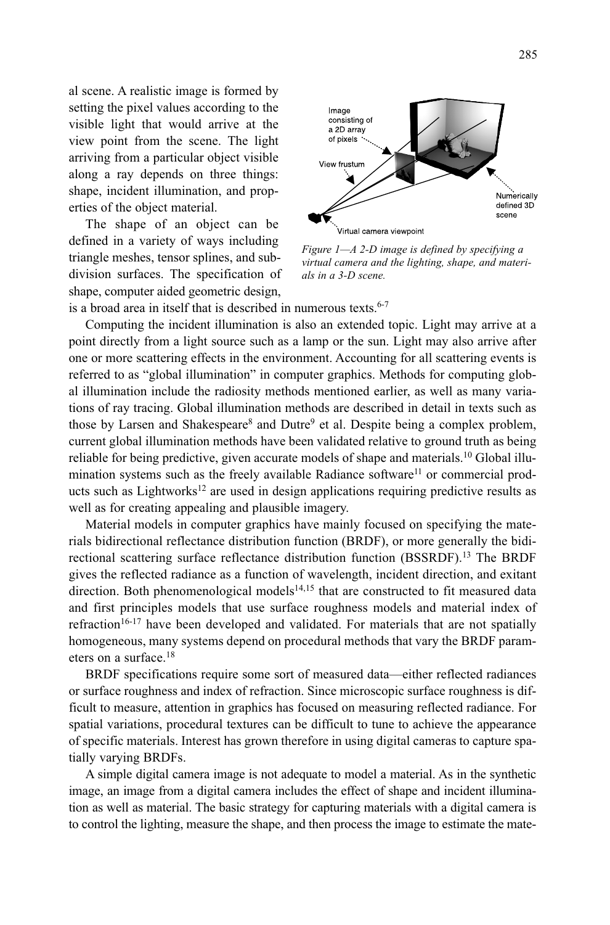al scene. A realistic image is formed by setting the pixel values according to the visible light that would arrive at the view point from the scene. The light arriving from a particular object visible along a ray depends on three things: shape, incident illumination, and properties of the object material.

The shape of an object can be defined in a variety of ways including triangle meshes, tensor splines, and subdivision surfaces. The specification of shape, computer aided geometric design,



*Figure 1—A 2-D image is defined by specifying a virtual camera and the lighting, shape, and materials in a 3-D scene.*

is a broad area in itself that is described in numerous texts. $6-7$ 

Computing the incident illumination is also an extended topic. Light may arrive at a point directly from a light source such as a lamp or the sun. Light may also arrive after one or more scattering effects in the environment. Accounting for all scattering events is referred to as "global illumination" in computer graphics. Methods for computing global illumination include the radiosity methods mentioned earlier, as well as many variations of ray tracing. Global illumination methods are described in detail in texts such as those by Larsen and Shakespeare<sup>8</sup> and Dutre<sup>9</sup> et al. Despite being a complex problem, current global illumination methods have been validated relative to ground truth as being reliable for being predictive, given accurate models of shape and materials.<sup>10</sup> Global illumination systems such as the freely available Radiance software<sup>11</sup> or commercial products such as Lightworks<sup>12</sup> are used in design applications requiring predictive results as well as for creating appealing and plausible imagery.

Material models in computer graphics have mainly focused on specifying the materials bidirectional reflectance distribution function (BRDF), or more generally the bidirectional scattering surface reflectance distribution function (BSSRDF).<sup>13</sup> The BRDF gives the reflected radiance as a function of wavelength, incident direction, and exitant direction. Both phenomenological models $14,15$  that are constructed to fit measured data and first principles models that use surface roughness models and material index of refraction<sup>16-17</sup> have been developed and validated. For materials that are not spatially homogeneous, many systems depend on procedural methods that vary the BRDF parameters on a surface.18

BRDF specifications require some sort of measured data—either reflected radiances or surface roughness and index of refraction. Since microscopic surface roughness is difficult to measure, attention in graphics has focused on measuring reflected radiance. For spatial variations, procedural textures can be difficult to tune to achieve the appearance of specific materials. Interest has grown therefore in using digital cameras to capture spatially varying BRDFs.

A simple digital camera image is not adequate to model a material. As in the synthetic image, an image from a digital camera includes the effect of shape and incident illumination as well as material. The basic strategy for capturing materials with a digital camera is to control the lighting, measure the shape, and then process the image to estimate the mate-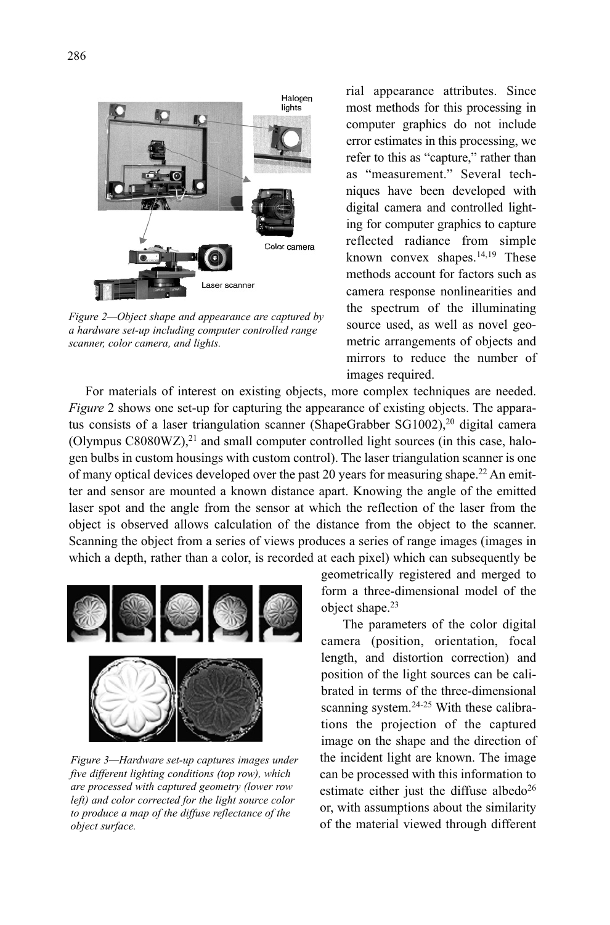

*Figure 2—Object shape and appearance are captured by a hardware set-up including computer controlled range scanner, color camera, and lights.*

rial appearance attributes. Since most methods for this processing in computer graphics do not include error estimates in this processing, we refer to this as "capture," rather than as "measurement." Several techniques have been developed with digital camera and controlled lighting for computer graphics to capture reflected radiance from simple known convex shapes.<sup>14,19</sup> These methods account for factors such as camera response nonlinearities and the spectrum of the illuminating source used, as well as novel geometric arrangements of objects and mirrors to reduce the number of images required.

For materials of interest on existing objects, more complex techniques are needed. *Figure* 2 shows one set-up for capturing the appearance of existing objects. The apparatus consists of a laser triangulation scanner (ShapeGrabber SG1002),<sup>20</sup> digital camera (Olympus  $C8080\text{WZ}$ ),<sup>21</sup> and small computer controlled light sources (in this case, halogen bulbs in custom housings with custom control). The laser triangulation scanner is one of many optical devices developed over the past 20 years for measuring shape.<sup>22</sup> An emitter and sensor are mounted a known distance apart. Knowing the angle of the emitted laser spot and the angle from the sensor at which the reflection of the laser from the object is observed allows calculation of the distance from the object to the scanner. Scanning the object from a series of views produces a series of range images (images in which a depth, rather than a color, is recorded at each pixel) which can subsequently be



*Figure 3—Hardware set-up captures images under five different lighting conditions (top row), which are processed with captured geometry (lower row left) and color corrected for the light source color to produce a map of the diffuse reflectance of the object surface.*

geometrically registered and merged to form a three-dimensional model of the object shape. $23$ 

The parameters of the color digital camera (position, orientation, focal length, and distortion correction) and position of the light sources can be calibrated in terms of the three-dimensional scanning system.<sup>24-25</sup> With these calibrations the projection of the captured image on the shape and the direction of the incident light are known. The image can be processed with this information to estimate either just the diffuse albedo<sup>26</sup> or, with assumptions about the similarity of the material viewed through different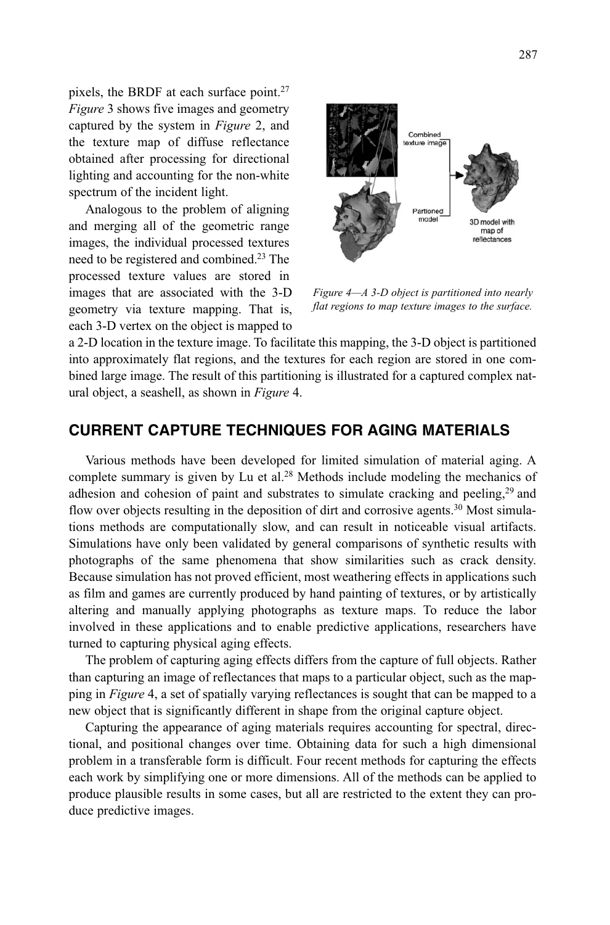pixels, the BRDF at each surface point.<sup>27</sup> *Figure* 3 shows five images and geometry captured by the system in *Figure* 2, and the texture map of diffuse reflectance obtained after processing for directional lighting and accounting for the non-white spectrum of the incident light.

Analogous to the problem of aligning and merging all of the geometric range images, the individual processed textures need to be registered and combined.23 The processed texture values are stored in images that are associated with the 3-D geometry via texture mapping. That is, each 3-D vertex on the object is mapped to



*Figure 4—A 3-D object is partitioned into nearly flat regions to map texture images to the surface.*

a 2-D location in the texture image. To facilitate this mapping, the 3-D object is partitioned into approximately flat regions, and the textures for each region are stored in one combined large image. The result of this partitioning is illustrated for a captured complex natural object, a seashell, as shown in *Figure* 4.

### **CURRENT CAPTURE TECHNIQUES FOR AGING MATERIALS**

Various methods have been developed for limited simulation of material aging. A complete summary is given by Lu et al.<sup>28</sup> Methods include modeling the mechanics of adhesion and cohesion of paint and substrates to simulate cracking and peeling,<sup>29</sup> and flow over objects resulting in the deposition of dirt and corrosive agents.<sup>30</sup> Most simulations methods are computationally slow, and can result in noticeable visual artifacts. Simulations have only been validated by general comparisons of synthetic results with photographs of the same phenomena that show similarities such as crack density. Because simulation has not proved efficient, most weathering effects in applications such as film and games are currently produced by hand painting of textures, or by artistically altering and manually applying photographs as texture maps. To reduce the labor involved in these applications and to enable predictive applications, researchers have turned to capturing physical aging effects.

The problem of capturing aging effects differs from the capture of full objects. Rather than capturing an image of reflectances that maps to a particular object, such as the mapping in *Figure* 4, a set of spatially varying reflectances is sought that can be mapped to a new object that is significantly different in shape from the original capture object.

Capturing the appearance of aging materials requires accounting for spectral, directional, and positional changes over time. Obtaining data for such a high dimensional problem in a transferable form is difficult. Four recent methods for capturing the effects each work by simplifying one or more dimensions. All of the methods can be applied to produce plausible results in some cases, but all are restricted to the extent they can produce predictive images.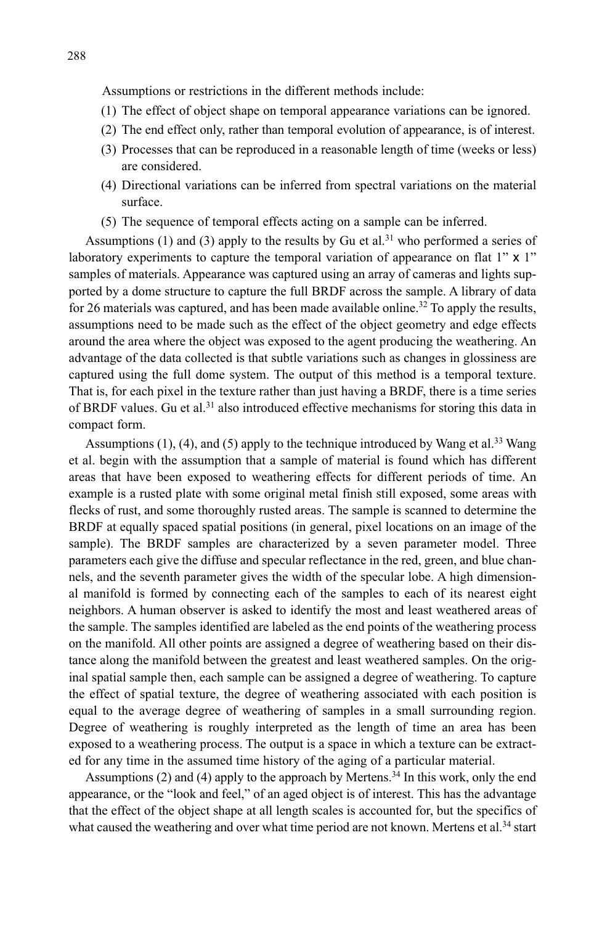Assumptions or restrictions in the different methods include:

- (1) The effect of object shape on temporal appearance variations can be ignored.
- (2) The end effect only, rather than temporal evolution of appearance, is of interest.
- (3) Processes that can be reproduced in a reasonable length of time (weeks or less) are considered.
- (4) Directional variations can be inferred from spectral variations on the material surface.
- (5) The sequence of temporal effects acting on a sample can be inferred.

Assumptions (1) and (3) apply to the results by Gu et al.<sup>31</sup> who performed a series of laboratory experiments to capture the temporal variation of appearance on flat 1"  $\times$  1" samples of materials. Appearance was captured using an array of cameras and lights supported by a dome structure to capture the full BRDF across the sample. A library of data for 26 materials was captured, and has been made available online.<sup>32</sup> To apply the results, assumptions need to be made such as the effect of the object geometry and edge effects around the area where the object was exposed to the agent producing the weathering. An advantage of the data collected is that subtle variations such as changes in glossiness are captured using the full dome system. The output of this method is a temporal texture. That is, for each pixel in the texture rather than just having a BRDF, there is a time series of BRDF values. Gu et al.<sup>31</sup> also introduced effective mechanisms for storing this data in compact form.

Assumptions  $(1)$ ,  $(4)$ , and  $(5)$  apply to the technique introduced by Wang et al.<sup>33</sup> Wang et al. begin with the assumption that a sample of material is found which has different areas that have been exposed to weathering effects for different periods of time. An example is a rusted plate with some original metal finish still exposed, some areas with flecks of rust, and some thoroughly rusted areas. The sample is scanned to determine the BRDF at equally spaced spatial positions (in general, pixel locations on an image of the sample). The BRDF samples are characterized by a seven parameter model. Three parameters each give the diffuse and specular reflectance in the red, green, and blue channels, and the seventh parameter gives the width of the specular lobe. A high dimensional manifold is formed by connecting each of the samples to each of its nearest eight neighbors. A human observer is asked to identify the most and least weathered areas of the sample. The samples identified are labeled as the end points of the weathering process on the manifold. All other points are assigned a degree of weathering based on their distance along the manifold between the greatest and least weathered samples. On the original spatial sample then, each sample can be assigned a degree of weathering. To capture the effect of spatial texture, the degree of weathering associated with each position is equal to the average degree of weathering of samples in a small surrounding region. Degree of weathering is roughly interpreted as the length of time an area has been exposed to a weathering process. The output is a space in which a texture can be extracted for any time in the assumed time history of the aging of a particular material.

Assumptions (2) and (4) apply to the approach by Mertens.<sup>34</sup> In this work, only the end appearance, or the "look and feel," of an aged object is of interest. This has the advantage that the effect of the object shape at all length scales is accounted for, but the specifics of what caused the weathering and over what time period are not known. Mertens et al.<sup>34</sup> start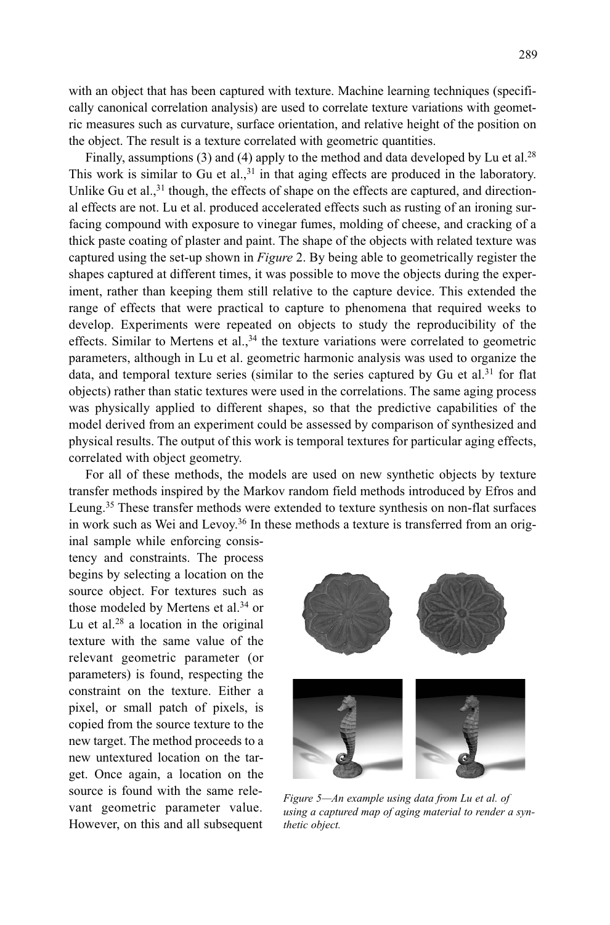with an object that has been captured with texture. Machine learning techniques (specifically canonical correlation analysis) are used to correlate texture variations with geometric measures such as curvature, surface orientation, and relative height of the position on the object. The result is a texture correlated with geometric quantities.

Finally, assumptions (3) and (4) apply to the method and data developed by Lu et al.<sup>28</sup> This work is similar to Gu et al., $3<sup>1</sup>$  in that aging effects are produced in the laboratory. Unlike Gu et al., $31$  though, the effects of shape on the effects are captured, and directional effects are not. Lu et al. produced accelerated effects such as rusting of an ironing surfacing compound with exposure to vinegar fumes, molding of cheese, and cracking of a thick paste coating of plaster and paint. The shape of the objects with related texture was captured using the set-up shown in *Figure* 2. By being able to geometrically register the shapes captured at different times, it was possible to move the objects during the experiment, rather than keeping them still relative to the capture device. This extended the range of effects that were practical to capture to phenomena that required weeks to develop. Experiments were repeated on objects to study the reproducibility of the effects. Similar to Mertens et al., $34$  the texture variations were correlated to geometric parameters, although in Lu et al. geometric harmonic analysis was used to organize the data, and temporal texture series (similar to the series captured by Gu et al.<sup>31</sup> for flat objects) rather than static textures were used in the correlations. The same aging process was physically applied to different shapes, so that the predictive capabilities of the model derived from an experiment could be assessed by comparison of synthesized and physical results. The output of this work is temporal textures for particular aging effects, correlated with object geometry.

For all of these methods, the models are used on new synthetic objects by texture transfer methods inspired by the Markov random field methods introduced by Efros and Leung.<sup>35</sup> These transfer methods were extended to texture synthesis on non-flat surfaces in work such as Wei and Levoy.<sup>36</sup> In these methods a texture is transferred from an orig-

inal sample while enforcing consistency and constraints. The process begins by selecting a location on the source object. For textures such as those modeled by Mertens et al.<sup>34</sup> or Lu et al. $28$  a location in the original texture with the same value of the relevant geometric parameter (or parameters) is found, respecting the constraint on the texture. Either a pixel, or small patch of pixels, is copied from the source texture to the new target. The method proceeds to a new untextured location on the target. Once again, a location on the source is found with the same relevant geometric parameter value. However, on this and all subsequent



*Figure 5—An example using data from Lu et al. of using a captured map of aging material to render a synthetic object.*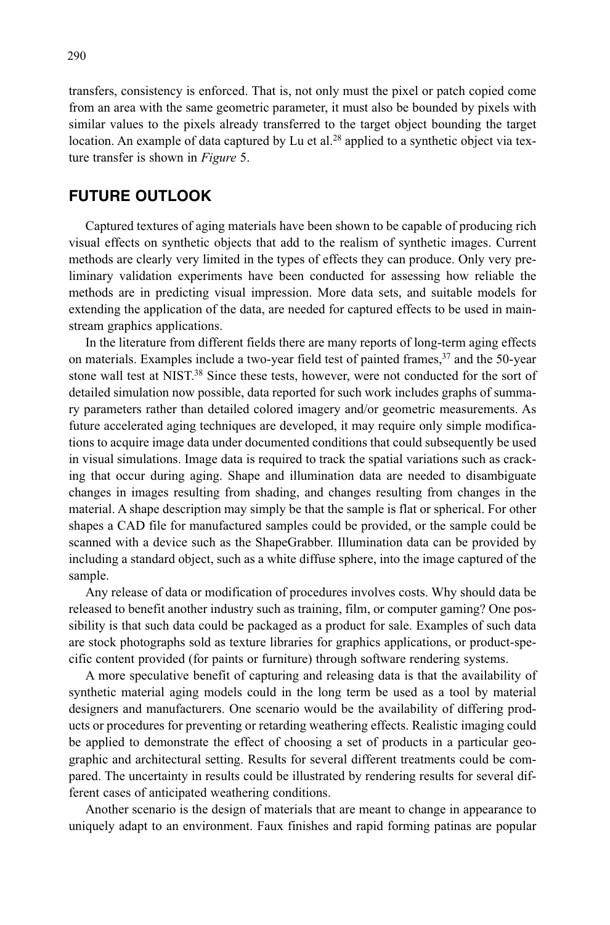transfers, consistency is enforced. That is, not only must the pixel or patch copied come from an area with the same geometric parameter, it must also be bounded by pixels with similar values to the pixels already transferred to the target object bounding the target location. An example of data captured by Lu et al.<sup>28</sup> applied to a synthetic object via texture transfer is shown in *Figure* 5.

## **FUTURE OUTLOOK**

Captured textures of aging materials have been shown to be capable of producing rich visual effects on synthetic objects that add to the realism of synthetic images. Current methods are clearly very limited in the types of effects they can produce. Only very preliminary validation experiments have been conducted for assessing how reliable the methods are in predicting visual impression. More data sets, and suitable models for extending the application of the data, are needed for captured effects to be used in mainstream graphics applications.

In the literature from different fields there are many reports of long-term aging effects on materials. Examples include a two-year field test of painted frames,37 and the 50-year stone wall test at NIST.38 Since these tests, however, were not conducted for the sort of detailed simulation now possible, data reported for such work includes graphs of summary parameters rather than detailed colored imagery and/or geometric measurements. As future accelerated aging techniques are developed, it may require only simple modifications to acquire image data under documented conditions that could subsequently be used in visual simulations. Image data is required to track the spatial variations such as cracking that occur during aging. Shape and illumination data are needed to disambiguate changes in images resulting from shading, and changes resulting from changes in the material. A shape description may simply be that the sample is flat or spherical. For other shapes a CAD file for manufactured samples could be provided, or the sample could be scanned with a device such as the ShapeGrabber. Illumination data can be provided by including a standard object, such as a white diffuse sphere, into the image captured of the sample.

Any release of data or modification of procedures involves costs. Why should data be released to benefit another industry such as training, film, or computer gaming? One possibility is that such data could be packaged as a product for sale. Examples of such data are stock photographs sold as texture libraries for graphics applications, or product-specific content provided (for paints or furniture) through software rendering systems.

A more speculative benefit of capturing and releasing data is that the availability of synthetic material aging models could in the long term be used as a tool by material designers and manufacturers. One scenario would be the availability of differing products or procedures for preventing or retarding weathering effects. Realistic imaging could be applied to demonstrate the effect of choosing a set of products in a particular geographic and architectural setting. Results for several different treatments could be compared. The uncertainty in results could be illustrated by rendering results for several different cases of anticipated weathering conditions.

Another scenario is the design of materials that are meant to change in appearance to uniquely adapt to an environment. Faux finishes and rapid forming patinas are popular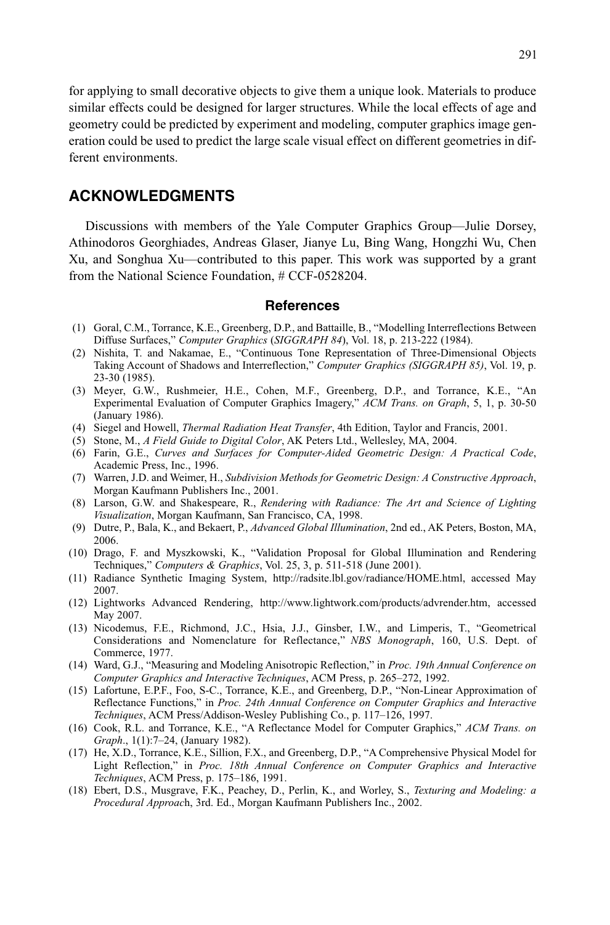for applying to small decorative objects to give them a unique look. Materials to produce similar effects could be designed for larger structures. While the local effects of age and geometry could be predicted by experiment and modeling, computer graphics image generation could be used to predict the large scale visual effect on different geometries in different environments.

#### **ACKNOWLEDGMENTS**

Discussions with members of the Yale Computer Graphics Group—Julie Dorsey, Athinodoros Georghiades, Andreas Glaser, Jianye Lu, Bing Wang, Hongzhi Wu, Chen Xu, and Songhua Xu—contributed to this paper. This work was supported by a grant from the National Science Foundation, # CCF-0528204.

#### **References**

- (1) Goral, C.M., Torrance, K.E., Greenberg, D.P., and Battaille, B., "Modelling Interreflections Between Diffuse Surfaces," *Computer Graphics* (*SIGGRAPH 84*), Vol. 18, p. 213-222 (1984).
- (2) Nishita, T. and Nakamae, E., "Continuous Tone Representation of Three-Dimensional Objects Taking Account of Shadows and Interreflection," *Computer Graphics (SIGGRAPH 85)*, Vol. 19, p. 23-30 (1985).
- (3) Meyer, G.W., Rushmeier, H.E., Cohen, M.F., Greenberg, D.P., and Torrance, K.E., "An Experimental Evaluation of Computer Graphics Imagery," *ACM Trans. on Graph*, 5, 1, p. 30-50 (January 1986).
- (4) Siegel and Howell, *Thermal Radiation Heat Transfer*, 4th Edition, Taylor and Francis, 2001.
- (5) Stone, M., *A Field Guide to Digital Color*, AK Peters Ltd., Wellesley, MA, 2004.
- (6) Farin, G.E., *Curves and Surfaces for Computer-Aided Geometric Design: A Practical Code*, Academic Press, Inc., 1996.
- (7) Warren, J.D. and Weimer, H., *Subdivision Methods for Geometric Design: A Constructive Approach*, Morgan Kaufmann Publishers Inc., 2001.
- (8) Larson, G.W. and Shakespeare, R., *Rendering with Radiance: The Art and Science of Lighting Visualization*, Morgan Kaufmann, San Francisco, CA, 1998.
- (9) Dutre, P., Bala, K., and Bekaert, P., *Advanced Global Illumination*, 2nd ed., AK Peters, Boston, MA, 2006.
- (10) Drago, F. and Myszkowski, K., "Validation Proposal for Global Illumination and Rendering Techniques," *Computers & Graphics*, Vol. 25, 3, p. 511-518 (June 2001).
- (11) Radiance Synthetic Imaging System, http://radsite.lbl.gov/radiance/HOME.html, accessed May 2007.
- (12) Lightworks Advanced Rendering, http://www.lightwork.com/products/advrender.htm, accessed May 2007.
- (13) Nicodemus, F.E., Richmond, J.C., Hsia, J.J., Ginsber, I.W., and Limperis, T., "Geometrical Considerations and Nomenclature for Reflectance," *NBS Monograph*, 160, U.S. Dept. of Commerce, 1977.
- (14) Ward, G.J., "Measuring and Modeling Anisotropic Reflection," in *Proc. 19th Annual Conference on Computer Graphics and Interactive Techniques*, ACM Press, p. 265–272, 1992.
- (15) Lafortune, E.P.F., Foo, S-C., Torrance, K.E., and Greenberg, D.P., "Non-Linear Approximation of Reflectance Functions," in *Proc. 24th Annual Conference on Computer Graphics and Interactive Techniques*, ACM Press/Addison-Wesley Publishing Co., p. 117–126, 1997.
- (16) Cook, R.L. and Torrance, K.E., "A Reflectance Model for Computer Graphics," *ACM Trans. on Graph*., 1(1):7–24, (January 1982).
- (17) He, X.D., Torrance, K.E., Sillion, F.X., and Greenberg, D.P., "A Comprehensive Physical Model for Light Reflection," in *Proc. 18th Annual Conference on Computer Graphics and Interactive Techniques*, ACM Press, p. 175–186, 1991.
- (18) Ebert, D.S., Musgrave, F.K., Peachey, D., Perlin, K., and Worley, S., *Texturing and Modeling: a Procedural Approac*h, 3rd. Ed., Morgan Kaufmann Publishers Inc., 2002.